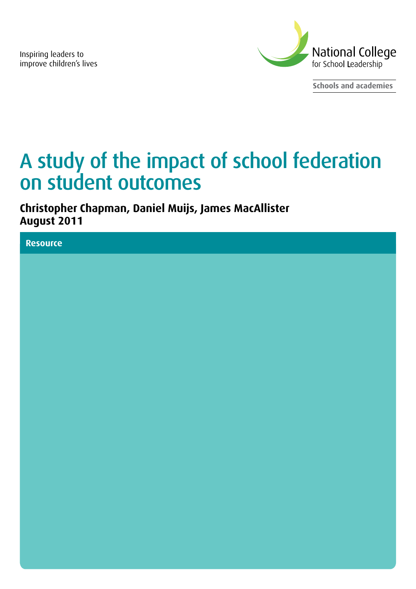Inspiring leaders to improve children's lives



**Schools and academies**

# A study of the impact of school federation on student outcomes

**Christopher Chapman, Daniel Muijs, James MacAllister August 2011**

**Resource**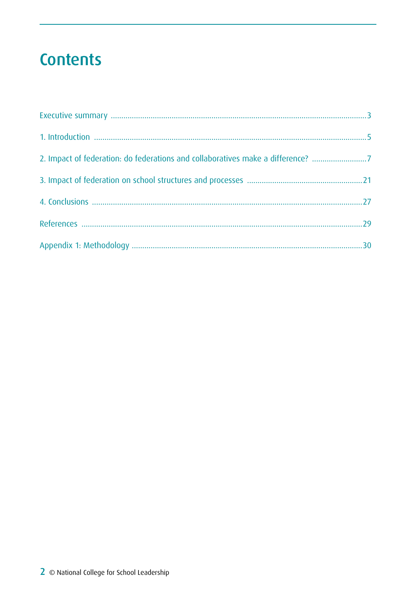# **Contents**

| 2. Impact of federation: do federations and collaboratives make a difference? 7 |  |
|---------------------------------------------------------------------------------|--|
|                                                                                 |  |
|                                                                                 |  |
|                                                                                 |  |
|                                                                                 |  |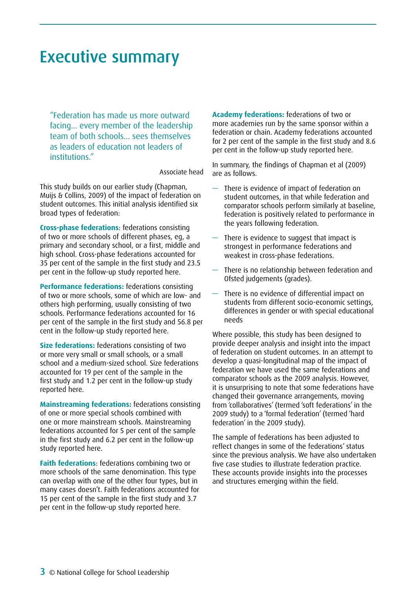# <span id="page-2-0"></span>Executive summary

"Federation has made us more outward facing… every member of the leadership team of both schools… sees themselves as leaders of education not leaders of institutions."

Associate head

This study builds on our earlier study (Chapman, Muijs & Collins, 2009) of the impact of federation on student outcomes. This initial analysis identified six broad types of federation:

**Cross-phase federations**: federations consisting of two or more schools of different phases, eg, a primary and secondary school, or a first, middle and high school. Cross-phase federations accounted for 35 per cent of the sample in the first study and 23.5 per cent in the follow-up study reported here.

**Performance federations:** federations consisting of two or more schools, some of which are low- and others high performing, usually consisting of two schools. Performance federations accounted for 16 per cent of the sample in the first study and 56.8 per cent in the follow-up study reported here.

**Size federations:** federations consisting of two or more very small or small schools, or a small school and a medium-sized school. Size federations accounted for 19 per cent of the sample in the first study and 1.2 per cent in the follow-up study reported here.

**Mainstreaming federations:** federations consisting of one or more special schools combined with one or more mainstream schools. Mainstreaming federations accounted for 5 per cent of the sample in the first study and 6.2 per cent in the follow-up study reported here.

**Faith federations**: federations combining two or more schools of the same denomination. This type can overlap with one of the other four types, but in many cases doesn't. Faith federations accounted for 15 per cent of the sample in the first study and 3.7 per cent in the follow-up study reported here.

**Academy federations:** federations of two or more academies run by the same sponsor within a federation or chain. Academy federations accounted for 2 per cent of the sample in the first study and 8.6 per cent in the follow-up study reported here.

In summary, the findings of Chapman et al (2009) are as follows.

- There is evidence of impact of federation on student outcomes, in that while federation and comparator schools perform similarly at baseline, federation is positively related to performance in the years following federation.
- There is evidence to suggest that impact is strongest in performance federations and weakest in cross-phase federations.
- There is no relationship between federation and Ofsted judgements (grades).
- There is no evidence of differential impact on students from different socio-economic settings, differences in gender or with special educational needs

Where possible, this study has been designed to provide deeper analysis and insight into the impact of federation on student outcomes. In an attempt to develop a quasi-longitudinal map of the impact of federation we have used the same federations and comparator schools as the 2009 analysis. However, it is unsurprising to note that some federations have changed their governance arrangements, moving from 'collaboratives' (termed 'soft federations' in the 2009 study) to a 'formal federation' (termed 'hard federation' in the 2009 study).

The sample of federations has been adjusted to reflect changes in some of the federations' status since the previous analysis. We have also undertaken five case studies to illustrate federation practice. These accounts provide insights into the processes and structures emerging within the field.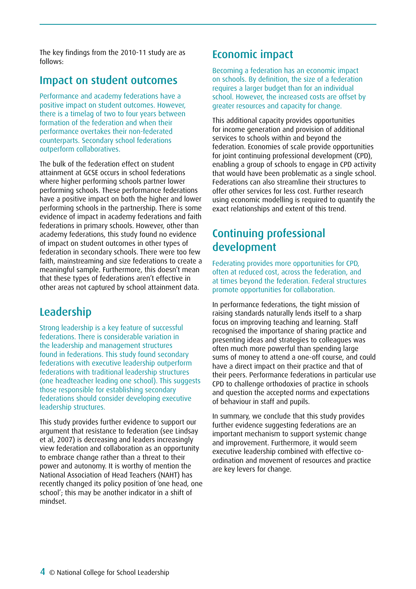The key findings from the 2010-11 study are as follows:

## Impact on student outcomes

Performance and academy federations have a positive impact on student outcomes. However, there is a timelag of two to four years between formation of the federation and when their performance overtakes their non-federated counterparts. Secondary school federations outperform collaboratives.

The bulk of the federation effect on student attainment at GCSE occurs in school federations where higher performing schools partner lower performing schools. These performance federations have a positive impact on both the higher and lower performing schools in the partnership. There is some evidence of impact in academy federations and faith federations in primary schools. However, other than academy federations, this study found no evidence of impact on student outcomes in other types of federation in secondary schools. There were too few faith, mainstreaming and size federations to create a meaningful sample. Furthermore, this doesn't mean that these types of federations aren't effective in other areas not captured by school attainment data.

# Leadership

Strong leadership is a key feature of successful federations. There is considerable variation in the leadership and management structures found in federations. This study found secondary federations with executive leadership outperform federations with traditional leadership structures (one headteacher leading one school). This suggests those responsible for establishing secondary federations should consider developing executive leadership structures.

This study provides further evidence to support our argument that resistance to federation (see Lindsay et al, 2007) is decreasing and leaders increasingly view federation and collaboration as an opportunity to embrace change rather than a threat to their power and autonomy. It is worthy of mention the National Association of Head Teachers (NAHT) has recently changed its policy position of 'one head, one school'; this may be another indicator in a shift of mindset.

# Economic impact

Becoming a federation has an economic impact on schools. By definition, the size of a federation requires a larger budget than for an individual school. However, the increased costs are offset by greater resources and capacity for change.

This additional capacity provides opportunities for income generation and provision of additional services to schools within and beyond the federation. Economies of scale provide opportunities for joint continuing professional development (CPD), enabling a group of schools to engage in CPD activity that would have been problematic as a single school. Federations can also streamline their structures to offer other services for less cost. Further research using economic modelling is required to quantify the exact relationships and extent of this trend.

# Continuing professional development

Federating provides more opportunities for CPD, often at reduced cost, across the federation, and at times beyond the federation. Federal structures promote opportunities for collaboration.

In performance federations, the tight mission of raising standards naturally lends itself to a sharp focus on improving teaching and learning. Staff recognised the importance of sharing practice and presenting ideas and strategies to colleagues was often much more powerful than spending large sums of money to attend a one-off course, and could have a direct impact on their practice and that of their peers. Performance federations in particular use CPD to challenge orthodoxies of practice in schools and question the accepted norms and expectations of behaviour in staff and pupils.

In summary, we conclude that this study provides further evidence suggesting federations are an important mechanism to support systemic change and improvement. Furthermore, it would seem executive leadership combined with effective coordination and movement of resources and practice are key levers for change.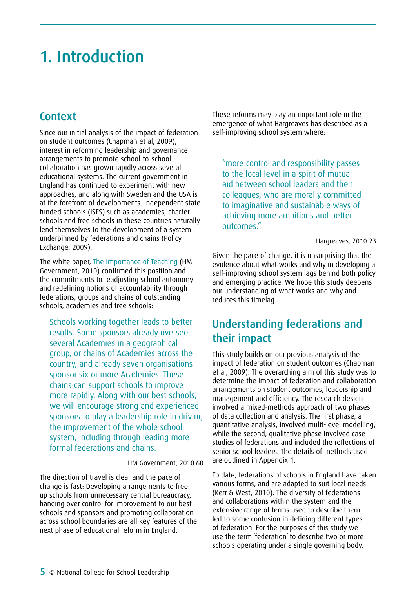# <span id="page-4-0"></span>1. Introduction

### Context

Since our initial analysis of the impact of federation on student outcomes (Chapman et al, 2009), interest in reforming leadership and governance arrangements to promote school-to-school collaboration has grown rapidly across several educational systems. The current government in England has continued to experiment with new approaches, and along with Sweden and the USA is at the forefront of developments. Independent statefunded schools (ISFS) such as academies, charter schools and free schools in these countries naturally lend themselves to the development of a system underpinned by federations and chains (Policy Exchange, 2009).

The white paper, The Importance of Teaching (HM Government, 2010) confirmed this position and the commitments to readjusting school autonomy and redefining notions of accountability through federations, groups and chains of outstanding schools, academies and free schools:

Schools working together leads to better results. Some sponsors already oversee several Academies in a geographical group, or chains of Academies across the country, and already seven organisations sponsor six or more Academies. These chains can support schools to improve more rapidly. Along with our best schools, we will encourage strong and experienced sponsors to play a leadership role in driving the improvement of the whole school system, including through leading more formal federations and chains.

HM Government, 2010:60

The direction of travel is clear and the pace of change is fast: Developing arrangements to free up schools from unnecessary central bureaucracy, handing over control for improvement to our best schools and sponsors and promoting collaboration across school boundaries are all key features of the next phase of educational reform in England.

These reforms may play an important role in the emergence of what Hargreaves has described as a self-improving school system where:

"more control and responsibility passes to the local level in a spirit of mutual aid between school leaders and their colleagues, who are morally committed to imaginative and sustainable ways of achieving more ambitious and better outcomes."

#### Hargreaves, 2010:23

Given the pace of change, it is unsurprising that the evidence about what works and why in developing a self-improving school system lags behind both policy and emerging practice. We hope this study deepens our understanding of what works and why and reduces this timelag.

## Understanding federations and their impact

This study builds on our previous analysis of the impact of federation on student outcomes (Chapman et al, 2009). The overarching aim of this study was to determine the impact of federation and collaboration arrangements on student outcomes, leadership and management and efficiency. The research design involved a mixed-methods approach of two phases of data collection and analysis. The first phase, a quantitative analysis, involved multi-level modelling, while the second, qualitative phase involved case studies of federations and included the reflections of senior school leaders. The details of methods used are outlined in Appendix 1.

To date, federations of schools in England have taken various forms, and are adapted to suit local needs (Kerr & West, 2010). The diversity of federations and collaborations within the system and the extensive range of terms used to describe them led to some confusion in defining different types of federation. For the purposes of this study we use the term 'federation' to describe two or more schools operating under a single governing body.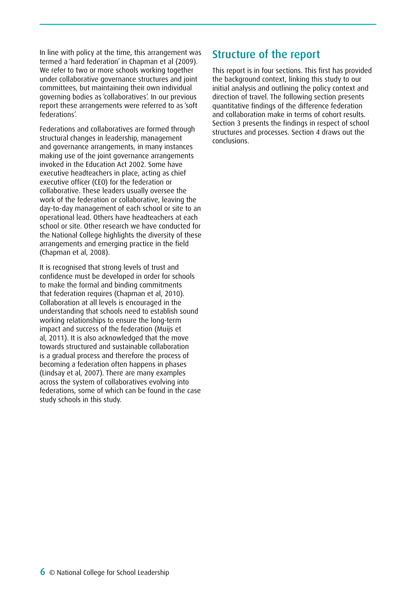In line with policy at the time, this arrangement was termed a 'hard federation' in Chapman et al (2009). We refer to two or more schools working together under collaborative governance structures and joint committees, but maintaining their own individual governing bodies as 'collaboratives'. In our previous report these arrangements were referred to as 'soft federations'.

Federations and collaboratives are formed through structural changes in leadership, management and governance arrangements, in many instances making use of the joint governance arrangements invoked in the Education Act 2002. Some have executive headteachers in place, acting as chief executive officer (CEO) for the federation or collaborative. These leaders usually oversee the work of the federation or collaborative, leaving the day-to-day management of each school or site to an operational lead. Others have headteachers at each school or site. Other research we have conducted for the National College highlights the diversity of these arrangements and emerging practice in the field (Chapman et al, 2008).

It is recognised that strong levels of trust and confidence must be developed in order for schools to make the formal and binding commitments that federation requires (Chapman et al, 2010). Collaboration at all levels is encouraged in the understanding that schools need to establish sound working relationships to ensure the long-term impact and success of the federation (Muijs et al, 2011). It is also acknowledged that the move towards structured and sustainable collaboration is a gradual process and therefore the process of becoming a federation often happens in phases (Lindsay et al, 2007). There are many examples across the system of collaboratives evolving into federations, some of which can be found in the case study schools in this study.

### Structure of the report

This report is in four sections. This first has provided the background context, linking this study to our initial analysis and outlining the policy context and direction of travel. The following section presents quantitative findings of the difference federation and collaboration make in terms of cohort results. Section 3 presents the findings in respect of school structures and processes. Section 4 draws out the conclusions.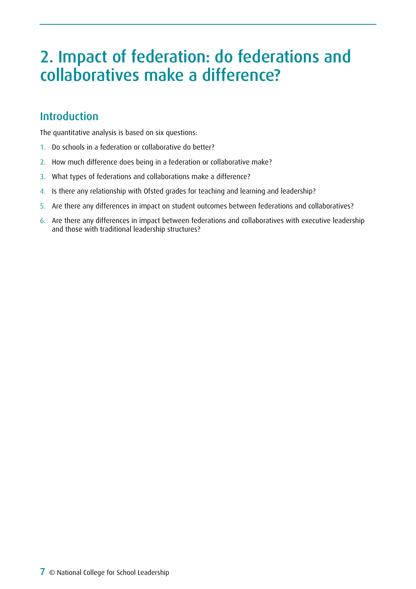# <span id="page-6-0"></span>2. Impact of federation: do federations and collaboratives make a difference?

# Introduction

The quantitative analysis is based on six questions:

- 1. Do schools in a federation or collaborative do better?
- 2. How much difference does being in a federation or collaborative make?
- 3. What types of federations and collaborations make a difference?
- 4. Is there any relationship with Ofsted grades for teaching and learning and leadership?
- 5. Are there any differences in impact on student outcomes between federations and collaboratives?
- 6. Are there any differences in impact between federations and collaboratives with executive leadership and those with traditional leadership structures?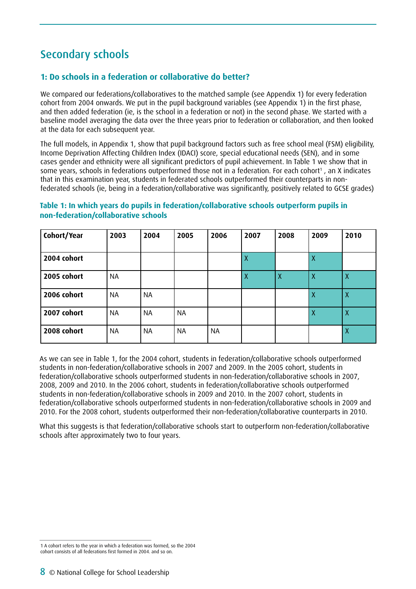# Secondary schools

### **1: Do schools in a federation or collaborative do better?**

We compared our federations/collaboratives to the matched sample (see Appendix 1) for every federation cohort from 2004 onwards. We put in the pupil background variables (see Appendix 1) in the first phase, and then added federation (ie, is the school in a federation or not) in the second phase. We started with a baseline model averaging the data over the three years prior to federation or collaboration, and then looked at the data for each subsequent year.

The full models, in Appendix 1, show that pupil background factors such as free school meal (FSM) eligibility, Income Deprivation Affecting Children Index (IDACI) score, special educational needs (SEN), and in some cases gender and ethnicity were all significant predictors of pupil achievement. In Table 1 we show that in some years, schools in federations outperformed those not in a federation. For each cohort<sup>1</sup>, an X indicates that in this examination year, students in federated schools outperformed their counterparts in nonfederated schools (ie, being in a federation/collaborative was significantly, positively related to GCSE grades)

| Cohort/Year | 2003      | 2004 | 2005      | 2006      | 2007 | 2008 | 2009         | 2010                      |
|-------------|-----------|------|-----------|-----------|------|------|--------------|---------------------------|
| 2004 cohort |           |      |           |           | χ    |      | Х            |                           |
| 2005 cohort | <b>NA</b> |      |           |           | X    | Χ    | $\mathsf{X}$ | $\boldsymbol{\mathsf{X}}$ |
| 2006 cohort | ΝA        | ΝA   |           |           |      |      | Χ            | Χ                         |
| 2007 cohort | <b>NA</b> | NA   | <b>NA</b> |           |      |      | Χ            | Χ                         |
| 2008 cohort | <b>NA</b> | ΝA   | <b>NA</b> | <b>NA</b> |      |      |              | χ                         |

**Table 1: In which years do pupils in federation/collaborative schools outperform pupils in non-federation/collaborative schools**

As we can see in Table 1, for the 2004 cohort, students in federation/collaborative schools outperformed students in non-federation/collaborative schools in 2007 and 2009. In the 2005 cohort, students in federation/collaborative schools outperformed students in non-federation/collaborative schools in 2007, 2008, 2009 and 2010. In the 2006 cohort, students in federation/collaborative schools outperformed students in non-federation/collaborative schools in 2009 and 2010. In the 2007 cohort, students in federation/collaborative schools outperformed students in non-federation/collaborative schools in 2009 and 2010. For the 2008 cohort, students outperformed their non-federation/collaborative counterparts in 2010.

What this suggests is that federation/collaborative schools start to outperform non-federation/collaborative schools after approximately two to four years.

<sup>1</sup> A cohort refers to the year in which a federation was formed, so the 2004 cohort consists of all federations first formed in 2004. and so on.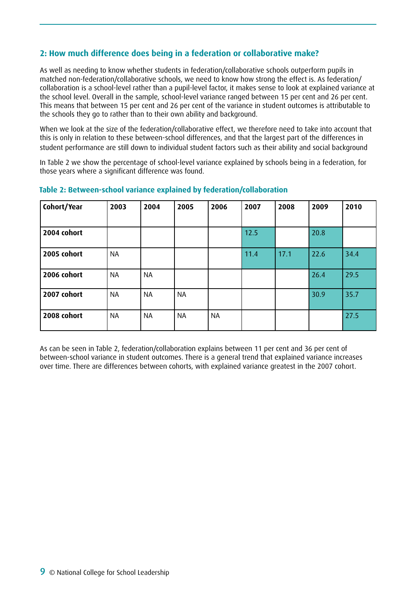### **2: How much difference does being in a federation or collaborative make?**

As well as needing to know whether students in federation/collaborative schools outperform pupils in matched non-federation/collaborative schools, we need to know how strong the effect is. As federation/ collaboration is a school-level rather than a pupil-level factor, it makes sense to look at explained variance at the school level. Overall in the sample, school-level variance ranged between 15 per cent and 26 per cent. This means that between 15 per cent and 26 per cent of the variance in student outcomes is attributable to the schools they go to rather than to their own ability and background.

When we look at the size of the federation/collaborative effect, we therefore need to take into account that this is only in relation to these between-school differences, and that the largest part of the differences in student performance are still down to individual student factors such as their ability and social background

In Table 2 we show the percentage of school-level variance explained by schools being in a federation, for those years where a significant difference was found.

| Cohort/Year | 2003      | 2004      | 2005      | 2006      | 2007 | 2008 | 2009 | 2010 |
|-------------|-----------|-----------|-----------|-----------|------|------|------|------|
|             |           |           |           |           |      |      |      |      |
| 2004 cohort |           |           |           |           | 12.5 |      | 20.8 |      |
| 2005 cohort | <b>NA</b> |           |           |           | 11.4 | 17.1 | 22.6 | 34.4 |
| 2006 cohort | <b>NA</b> | <b>NA</b> |           |           |      |      | 26.4 | 29.5 |
| 2007 cohort | <b>NA</b> | <b>NA</b> | <b>NA</b> |           |      |      | 30.9 | 35.7 |
| 2008 cohort | <b>NA</b> | <b>NA</b> | <b>NA</b> | <b>NA</b> |      |      |      | 27.5 |

#### **Table 2: Between-school variance explained by federation/collaboration**

As can be seen in Table 2, federation/collaboration explains between 11 per cent and 36 per cent of between-school variance in student outcomes. There is a general trend that explained variance increases over time. There are differences between cohorts, with explained variance greatest in the 2007 cohort.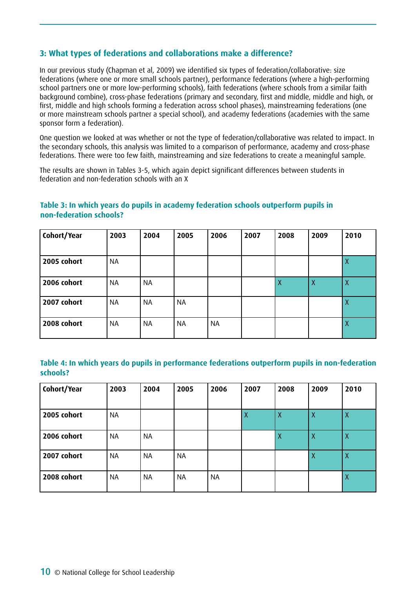### **3: What types of federations and collaborations make a difference?**

In our previous study (Chapman et al, 2009) we identified six types of federation/collaborative: size federations (where one or more small schools partner), performance federations (where a high-performing school partners one or more low-performing schools), faith federations (where schools from a similar faith background combine), cross-phase federations (primary and secondary, first and middle, middle and high, or first, middle and high schools forming a federation across school phases), mainstreaming federations (one or more mainstream schools partner a special school), and academy federations (academies with the same sponsor form a federation).

One question we looked at was whether or not the type of federation/collaborative was related to impact. In the secondary schools, this analysis was limited to a comparison of performance, academy and cross-phase federations. There were too few faith, mainstreaming and size federations to create a meaningful sample.

The results are shown in Tables 3-5, which again depict significant differences between students in federation and non-federation schools with an X

| Cohort/Year | 2003      | 2004      | 2005      | 2006      | 2007 | 2008 | 2009             | 2010             |
|-------------|-----------|-----------|-----------|-----------|------|------|------------------|------------------|
| 2005 cohort | <b>NA</b> |           |           |           |      |      |                  | Х                |
| 2006 cohort | <b>NA</b> | <b>NA</b> |           |           |      | Χ    | $\boldsymbol{X}$ | X                |
| 2007 cohort | <b>NA</b> | NA        | <b>NA</b> |           |      |      |                  | $\boldsymbol{X}$ |
| 2008 cohort | <b>NA</b> | ΝA        | ΝA        | <b>NA</b> |      |      |                  | Χ                |

### **Table 3: In which years do pupils in academy federation schools outperform pupils in non-federation schools?**

**Table 4: In which years do pupils in performance federations outperform pupils in non-federation schools?**

| Cohort/Year | 2003      | 2004      | 2005      | 2006      | 2007             | 2008             | 2009         | 2010 |
|-------------|-----------|-----------|-----------|-----------|------------------|------------------|--------------|------|
|             |           |           |           |           |                  |                  |              |      |
| 2005 cohort | <b>NA</b> |           |           |           | $\boldsymbol{X}$ | $\boldsymbol{X}$ | $\mathsf{X}$ | Χ    |
| 2006 cohort | <b>NA</b> | <b>NA</b> |           |           |                  | Χ                | X            | Χ    |
| 2007 cohort | <b>NA</b> | <b>NA</b> | <b>NA</b> |           |                  |                  | $\mathsf{X}$ | Χ    |
| 2008 cohort | <b>NA</b> | <b>NA</b> | <b>NA</b> | <b>NA</b> |                  |                  |              | Χ    |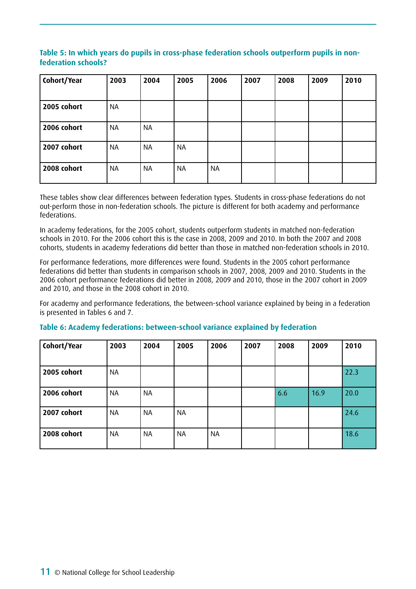### **Table 5: In which years do pupils in cross-phase federation schools outperform pupils in nonfederation schools?**

| Cohort/Year | 2003      | 2004      | 2005      | 2006      | 2007 | 2008 | 2009 | 2010 |
|-------------|-----------|-----------|-----------|-----------|------|------|------|------|
|             |           |           |           |           |      |      |      |      |
| 2005 cohort | <b>NA</b> |           |           |           |      |      |      |      |
| 2006 cohort | <b>NA</b> | <b>NA</b> |           |           |      |      |      |      |
| 2007 cohort | <b>NA</b> | <b>NA</b> | <b>NA</b> |           |      |      |      |      |
| 2008 cohort | <b>NA</b> | <b>NA</b> | <b>NA</b> | <b>NA</b> |      |      |      |      |

These tables show clear differences between federation types. Students in cross-phase federations do not out-perform those in non-federation schools. The picture is different for both academy and performance federations.

In academy federations, for the 2005 cohort, students outperform students in matched non-federation schools in 2010. For the 2006 cohort this is the case in 2008, 2009 and 2010. In both the 2007 and 2008 cohorts, students in academy federations did better than those in matched non-federation schools in 2010.

For performance federations, more differences were found. Students in the 2005 cohort performance federations did better than students in comparison schools in 2007, 2008, 2009 and 2010. Students in the 2006 cohort performance federations did better in 2008, 2009 and 2010, those in the 2007 cohort in 2009 and 2010, and those in the 2008 cohort in 2010.

For academy and performance federations, the between-school variance explained by being in a federation is presented in Tables 6 and 7.

| Cohort/Year | 2003      | 2004      | 2005      | 2006      | 2007 | 2008 | 2009 | 2010 |
|-------------|-----------|-----------|-----------|-----------|------|------|------|------|
|             |           |           |           |           |      |      |      |      |
| 2005 cohort | <b>NA</b> |           |           |           |      |      |      | 22.3 |
| 2006 cohort | <b>NA</b> | <b>NA</b> |           |           |      | 6.6  | 16.9 | 20.0 |
| 2007 cohort | <b>NA</b> | <b>NA</b> | <b>NA</b> |           |      |      |      | 24.6 |
| 2008 cohort | <b>NA</b> | <b>NA</b> | NA        | <b>NA</b> |      |      |      | 18.6 |

### **Table 6: Academy federations: between-school variance explained by federation**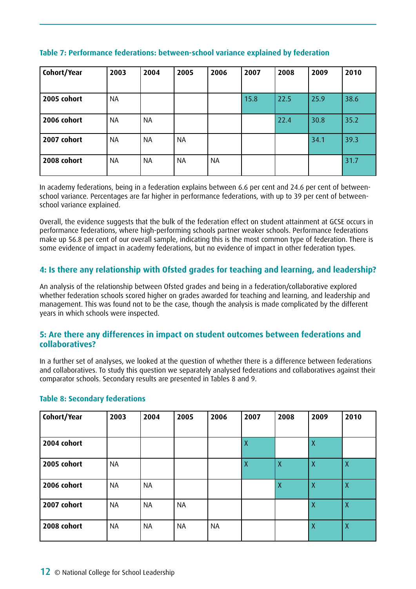| Cohort/Year | 2003      | 2004      | 2005      | 2006 | 2007 | 2008 | 2009 | 2010 |
|-------------|-----------|-----------|-----------|------|------|------|------|------|
| 2005 cohort | <b>NA</b> |           |           |      | 15.8 | 22.5 | 25.9 | 38.6 |
| 2006 cohort | <b>NA</b> | NA        |           |      |      | 22.4 | 30.8 | 35.2 |
| 2007 cohort | <b>NA</b> | <b>NA</b> | <b>NA</b> |      |      |      | 34.1 | 39.3 |
| 2008 cohort | NA        | <b>NA</b> | <b>NA</b> | NA   |      |      |      | 31.7 |

#### **Table 7: Performance federations: between-school variance explained by federation**

In academy federations, being in a federation explains between 6.6 per cent and 24.6 per cent of betweenschool variance. Percentages are far higher in performance federations, with up to 39 per cent of betweenschool variance explained.

Overall, the evidence suggests that the bulk of the federation effect on student attainment at GCSE occurs in performance federations, where high-performing schools partner weaker schools. Performance federations make up 56.8 per cent of our overall sample, indicating this is the most common type of federation. There is some evidence of impact in academy federations, but no evidence of impact in other federation types.

### **4: Is there any relationship with Ofsted grades for teaching and learning, and leadership?**

An analysis of the relationship between Ofsted grades and being in a federation/collaborative explored whether federation schools scored higher on grades awarded for teaching and learning, and leadership and management. This was found not to be the case, though the analysis is made complicated by the different years in which schools were inspected.

### **5: Are there any differences in impact on student outcomes between federations and collaboratives?**

In a further set of analyses, we looked at the question of whether there is a difference between federations and collaboratives. To study this question we separately analysed federations and collaboratives against their comparator schools. Secondary results are presented in Tables 8 and 9.

| Cohort/Year | 2003      | 2004      | 2005      | 2006      | 2007         | 2008         | 2009           | 2010         |
|-------------|-----------|-----------|-----------|-----------|--------------|--------------|----------------|--------------|
|             |           |           |           |           |              |              |                |              |
| 2004 cohort |           |           |           |           | X            |              | $\overline{X}$ |              |
| 2005 cohort | <b>NA</b> |           |           |           | $\mathsf{X}$ | $\mathsf{X}$ | $\mathsf{X}$   | $\mathsf{X}$ |
| 2006 cohort | <b>NA</b> | <b>NA</b> |           |           |              | X            | $\overline{X}$ | Χ            |
| 2007 cohort | <b>NA</b> | <b>NA</b> | <b>NA</b> |           |              |              | X              | X            |
| 2008 cohort | <b>NA</b> | <b>NA</b> | <b>NA</b> | <b>NA</b> |              |              | $\overline{X}$ | X            |

#### **Table 8: Secondary federations**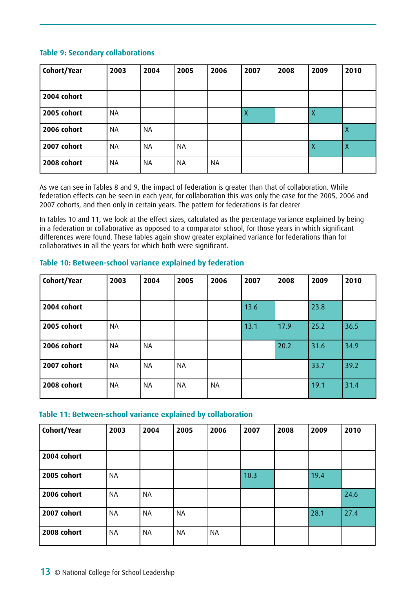#### **Table 9: Secondary collaborations**

| Cohort/Year | 2003      | 2004      | 2005      | 2006      | 2007 | 2008 | 2009 | 2010             |
|-------------|-----------|-----------|-----------|-----------|------|------|------|------------------|
|             |           |           |           |           |      |      |      |                  |
| 2004 cohort |           |           |           |           |      |      |      |                  |
| 2005 cohort | <b>NA</b> |           |           |           | X    |      |      |                  |
| 2006 cohort | <b>NA</b> | <b>NA</b> |           |           |      |      |      | X                |
| 2007 cohort | <b>NA</b> | <b>NA</b> | <b>NA</b> |           |      |      | X    | $\boldsymbol{X}$ |
| 2008 cohort | <b>NA</b> | <b>NA</b> | <b>NA</b> | <b>NA</b> |      |      |      |                  |

As we can see in Tables 8 and 9, the impact of federation is greater than that of collaboration. While federation effects can be seen in each year, for collaboration this was only the case for the 2005, 2006 and 2007 cohorts, and then only in certain years. The pattern for federations is far clearer

In Tables 10 and 11, we look at the effect sizes, calculated as the percentage variance explained by being in a federation or collaborative as opposed to a comparator school, for those years in which significant differences were found. These tables again show greater explained variance for federations than for collaboratives in all the years for which both were significant.

| Cohort/Year | 2003      | 2004      | 2005      | 2006      | 2007 | 2008 | 2009 | 2010 |
|-------------|-----------|-----------|-----------|-----------|------|------|------|------|
|             |           |           |           |           |      |      |      |      |
| 2004 cohort |           |           |           |           | 13.6 |      | 23.8 |      |
|             |           |           |           |           |      |      |      |      |
| 2005 cohort | <b>NA</b> |           |           |           | 13.1 | 17.9 | 25.2 | 36.5 |
| 2006 cohort | <b>NA</b> | <b>NA</b> |           |           |      | 20.2 | 31.6 | 34.9 |
|             |           |           |           |           |      |      |      |      |
| 2007 cohort | <b>NA</b> | <b>NA</b> | <b>NA</b> |           |      |      | 33.7 | 39.2 |
|             |           |           |           |           |      |      |      |      |
| 2008 cohort | <b>NA</b> | <b>NA</b> | <b>NA</b> | <b>NA</b> |      |      | 19.1 | 31.4 |
|             |           |           |           |           |      |      |      |      |

#### **Table 10: Between-school variance explained by federation**

#### **Table 11: Between-school variance explained by collaboration**

| Cohort/Year | 2003      | 2004      | 2005      | 2006      | 2007 | 2008 | 2009 | 2010 |
|-------------|-----------|-----------|-----------|-----------|------|------|------|------|
|             |           |           |           |           |      |      |      |      |
| 2004 cohort |           |           |           |           |      |      |      |      |
| 2005 cohort | <b>NA</b> |           |           |           | 10.3 |      | 19.4 |      |
| 2006 cohort | <b>NA</b> | NA        |           |           |      |      |      | 24.6 |
| 2007 cohort | <b>NA</b> | NA        | <b>NA</b> |           |      |      | 28.1 | 27.4 |
| 2008 cohort | <b>NA</b> | <b>NA</b> | <b>NA</b> | <b>NA</b> |      |      |      |      |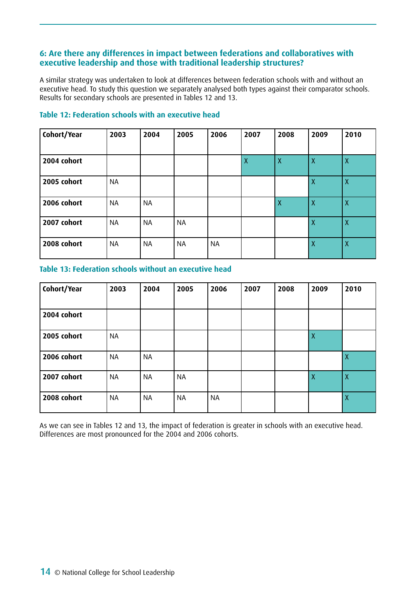### **6: Are there any differences in impact between federations and collaboratives with executive leadership and those with traditional leadership structures?**

A similar strategy was undertaken to look at differences between federation schools with and without an executive head. To study this question we separately analysed both types against their comparator schools. Results for secondary schools are presented in Tables 12 and 13.

# **Cohort/Year 2003 2004 2005 2006 2007 2008 2009 2010 2004 cohort**  $\begin{vmatrix} 1 & 1 & 1 \\ 1 & 1 & 1 \end{vmatrix}$   $\begin{vmatrix} 1 & 1 & 1 \\ 1 & 1 & 1 \end{vmatrix}$   $\begin{vmatrix} 1 & 1 & 1 \\ 1 & 1 & 1 \end{vmatrix}$   $\begin{vmatrix} 1 & 1 & 1 \\ 1 & 1 & 1 \end{vmatrix}$   $\begin{vmatrix} 1 & 1 & 1 \\ 1 & 1 & 1 \end{vmatrix}$   $\begin{vmatrix} 1 & 1 & 1 \\ 1 & 1 & 1 \end{vmatrix}$   $\begin{vmatrix} 1 & 1 & 1 \\$ **2005 cohort** NA X X **2006 cohort** INA INA I I IX IX X 2007 cohort | NA | NA | NA | X | X **2008 cohort** NA NA NA NA NA X X

### **Table 12: Federation schools with an executive head**

#### **Table 13: Federation schools without an executive head**

| Cohort/Year | 2003      | 2004      | 2005      | 2006      | 2007 | 2008 | 2009             | 2010             |
|-------------|-----------|-----------|-----------|-----------|------|------|------------------|------------------|
|             |           |           |           |           |      |      |                  |                  |
| 2004 cohort |           |           |           |           |      |      |                  |                  |
|             |           |           |           |           |      |      |                  |                  |
| 2005 cohort | <b>NA</b> |           |           |           |      |      | X                |                  |
|             |           |           |           |           |      |      |                  |                  |
| 2006 cohort | <b>NA</b> | <b>NA</b> |           |           |      |      |                  | Χ                |
| 2007 cohort | <b>NA</b> | <b>NA</b> | <b>NA</b> |           |      |      | $\boldsymbol{X}$ | $\boldsymbol{X}$ |
|             |           |           |           |           |      |      |                  |                  |
| 2008 cohort | <b>NA</b> | <b>NA</b> | <b>NA</b> | <b>NA</b> |      |      |                  | $\boldsymbol{X}$ |
|             |           |           |           |           |      |      |                  |                  |

As we can see in Tables 12 and 13, the impact of federation is greater in schools with an executive head. Differences are most pronounced for the 2004 and 2006 cohorts.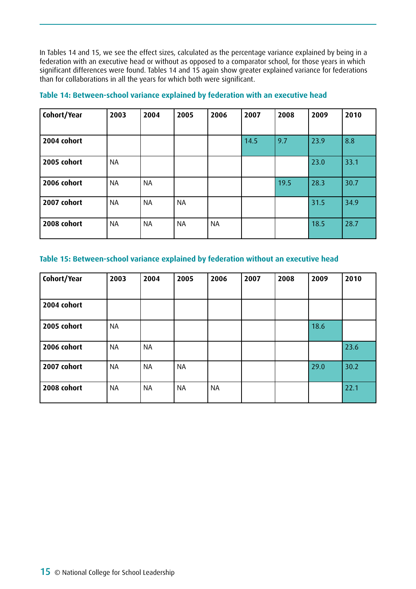In Tables 14 and 15, we see the effect sizes, calculated as the percentage variance explained by being in a federation with an executive head or without as opposed to a comparator school, for those years in which significant differences were found. Tables 14 and 15 again show greater explained variance for federations than for collaborations in all the years for which both were significant.

| Cohort/Year | 2003      | 2004      | 2005      | 2006      | 2007 | 2008 | 2009 | 2010 |
|-------------|-----------|-----------|-----------|-----------|------|------|------|------|
|             |           |           |           |           |      |      |      |      |
| 2004 cohort |           |           |           |           | 14.5 | 9.7  | 23.9 | 8.8  |
| 2005 cohort | <b>NA</b> |           |           |           |      |      | 23.0 | 33.1 |
| 2006 cohort | <b>NA</b> | <b>NA</b> |           |           |      | 19.5 | 28.3 | 30.7 |
| 2007 cohort | <b>NA</b> | <b>NA</b> | <b>NA</b> |           |      |      | 31.5 | 34.9 |
| 2008 cohort | <b>NA</b> | <b>NA</b> | <b>NA</b> | <b>NA</b> |      |      | 18.5 | 28.7 |

#### **Table 14: Between-school variance explained by federation with an executive head**

#### **Table 15: Between-school variance explained by federation without an executive head**

| Cohort/Year | 2003      | 2004      | 2005      | 2006      | 2007 | 2008 | 2009 | 2010 |
|-------------|-----------|-----------|-----------|-----------|------|------|------|------|
|             |           |           |           |           |      |      |      |      |
| 2004 cohort |           |           |           |           |      |      |      |      |
| 2005 cohort | <b>NA</b> |           |           |           |      |      | 18.6 |      |
| 2006 cohort | <b>NA</b> | <b>NA</b> |           |           |      |      |      | 23.6 |
| 2007 cohort | <b>NA</b> | <b>NA</b> | <b>NA</b> |           |      |      | 29.0 | 30.2 |
| 2008 cohort | <b>NA</b> | <b>NA</b> | <b>NA</b> | <b>NA</b> |      |      |      | 22.1 |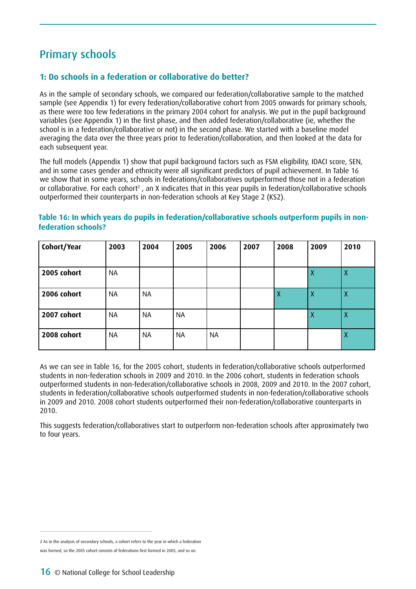# Primary schools

### **1: Do schools in a federation or collaborative do better?**

As in the sample of secondary schools, we compared our federation/collaborative sample to the matched sample (see Appendix 1) for every federation/collaborative cohort from 2005 onwards for primary schools, as there were too few federations in the primary 2004 cohort for analysis. We put in the pupil background variables (see Appendix 1) in the first phase, and then added federation/collaborative (ie, whether the school is in a federation/collaborative or not) in the second phase. We started with a baseline model averaging the data over the three years prior to federation/collaboration, and then looked at the data for each subsequent year.

The full models (Appendix 1) show that pupil background factors such as FSM eligibility, IDACI score, SEN, and in some cases gender and ethnicity were all significant predictors of pupil achievement. In Table 16 we show that in some years, schools in federations/collaboratives outperformed those not in a federation or collaborative. For each cohort<sup>2</sup>, an X indicates that in this year pupils in federation/collaborative schools outperformed their counterparts in non-federation schools at Key Stage 2 (KS2).

### **Table 16: In which years do pupils in federation/collaborative schools outperform pupils in nonfederation schools?**

| Cohort/Year | 2003      | 2004      | 2005      | 2006      | 2007 | 2008 | 2009             | 2010             |
|-------------|-----------|-----------|-----------|-----------|------|------|------------------|------------------|
|             |           |           |           |           |      |      |                  |                  |
| 2005 cohort | <b>NA</b> |           |           |           |      |      | X                | X                |
| 2006 cohort | <b>NA</b> | <b>NA</b> |           |           |      | Χ    | Χ                | $\boldsymbol{X}$ |
| 2007 cohort | <b>NA</b> | <b>NA</b> | <b>NA</b> |           |      |      | $\boldsymbol{X}$ | $\boldsymbol{X}$ |
| 2008 cohort | <b>NA</b> | ΝA        | <b>NA</b> | <b>NA</b> |      |      |                  | $\boldsymbol{X}$ |

As we can see in Table 16, for the 2005 cohort, students in federation/collaborative schools outperformed students in non-federation schools in 2009 and 2010. In the 2006 cohort, students in federation schools outperformed students in non-federation/collaborative schools in 2008, 2009 and 2010. In the 2007 cohort, students in federation/collaborative schools outperformed students in non-federation/collaborative schools in 2009 and 2010. 2008 cohort students outperformed their non-federation/collaborative counterparts in 2010.

This suggests federation/collaboratives start to outperform non-federation schools after approximately two to four years.

<sup>2</sup> As in the analysis of secondary schools, a cohort refers to the year in which a federation was formed, so the 2005 cohort consists of federations first formed in 2005, and so on.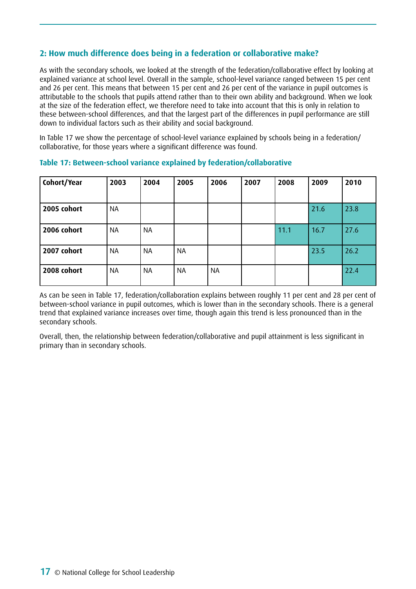### **2: How much difference does being in a federation or collaborative make?**

As with the secondary schools, we looked at the strength of the federation/collaborative effect by looking at explained variance at school level. Overall in the sample, school-level variance ranged between 15 per cent and 26 per cent. This means that between 15 per cent and 26 per cent of the variance in pupil outcomes is attributable to the schools that pupils attend rather than to their own ability and background. When we look at the size of the federation effect, we therefore need to take into account that this is only in relation to these between-school differences, and that the largest part of the differences in pupil performance are still down to individual factors such as their ability and social background.

In Table 17 we show the percentage of school-level variance explained by schools being in a federation/ collaborative, for those years where a significant difference was found.

| Cohort/Year | 2003      | 2004      | 2005      | 2006      | 2007 | 2008 | 2009 | 2010 |
|-------------|-----------|-----------|-----------|-----------|------|------|------|------|
| 2005 cohort | <b>NA</b> |           |           |           |      |      | 21.6 | 23.8 |
| 2006 cohort | <b>NA</b> | <b>NA</b> |           |           |      | 11.1 | 16.7 | 27.6 |
| 2007 cohort | <b>NA</b> | <b>NA</b> | <b>NA</b> |           |      |      | 23.5 | 26.2 |
| 2008 cohort | <b>NA</b> | <b>NA</b> | <b>NA</b> | <b>NA</b> |      |      |      | 22.4 |

#### **Table 17: Between-school variance explained by federation/collaborative**

As can be seen in Table 17, federation/collaboration explains between roughly 11 per cent and 28 per cent of between-school variance in pupil outcomes, which is lower than in the secondary schools. There is a general trend that explained variance increases over time, though again this trend is less pronounced than in the secondary schools.

Overall, then, the relationship between federation/collaborative and pupil attainment is less significant in primary than in secondary schools.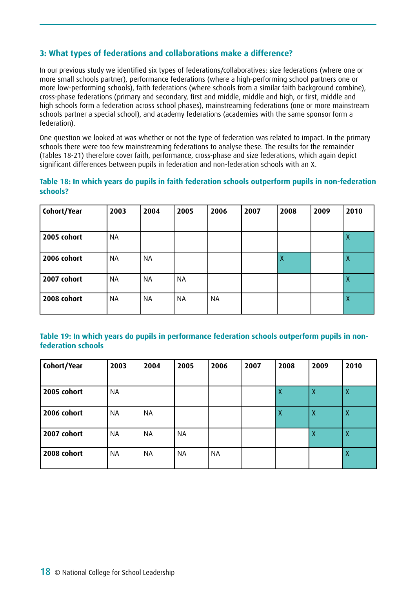### **3: What types of federations and collaborations make a difference?**

In our previous study we identified six types of federations/collaboratives: size federations (where one or more small schools partner), performance federations (where a high-performing school partners one or more low-performing schools), faith federations (where schools from a similar faith background combine), cross-phase federations (primary and secondary, first and middle, middle and high, or first, middle and high schools form a federation across school phases), mainstreaming federations (one or more mainstream schools partner a special school), and academy federations (academies with the same sponsor form a federation).

One question we looked at was whether or not the type of federation was related to impact. In the primary schools there were too few mainstreaming federations to analyse these. The results for the remainder (Tables 18-21) therefore cover faith, performance, cross-phase and size federations, which again depict significant differences between pupils in federation and non-federation schools with an X.

#### **Table 18: In which years do pupils in faith federation schools outperform pupils in non-federation schools?**

| Cohort/Year | 2003      | 2004      | 2005      | 2006      | 2007 | 2008 | 2009 | 2010 |
|-------------|-----------|-----------|-----------|-----------|------|------|------|------|
| 2005 cohort | <b>NA</b> |           |           |           |      |      |      | X    |
| 2006 cohort | <b>NA</b> | NA        |           |           |      | Х    |      | X    |
| 2007 cohort | <b>NA</b> | NA        | <b>NA</b> |           |      |      |      | Χ    |
| 2008 cohort | <b>NA</b> | <b>NA</b> | <b>NA</b> | <b>NA</b> |      |      |      | Χ    |

#### **Table 19: In which years do pupils in performance federation schools outperform pupils in nonfederation schools**

| Cohort/Year | 2003      | 2004      | 2005      | 2006      | 2007 | 2008 | 2009 | 2010             |
|-------------|-----------|-----------|-----------|-----------|------|------|------|------------------|
| 2005 cohort | <b>NA</b> |           |           |           |      | Χ    | X    | X                |
| 2006 cohort | <b>NA</b> | <b>NA</b> |           |           |      | Χ    | X    | $\boldsymbol{X}$ |
| 2007 cohort | <b>NA</b> | <b>NA</b> | <b>NA</b> |           |      |      | X    | $\boldsymbol{X}$ |
| 2008 cohort | <b>NA</b> | NA        | <b>NA</b> | <b>NA</b> |      |      |      | X                |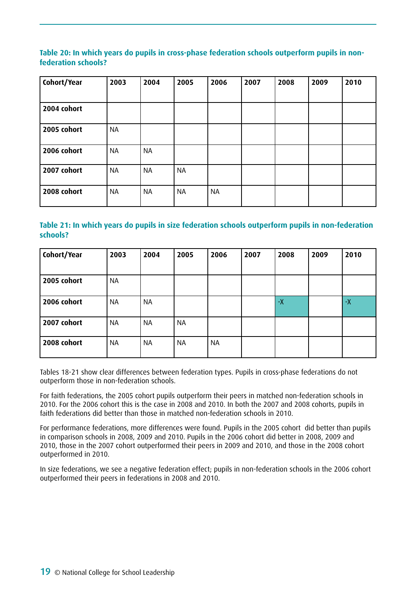### **Table 20: In which years do pupils in cross-phase federation schools outperform pupils in nonfederation schools?**

| Cohort/Year | 2003      | 2004      | 2005      | 2006      | 2007 | 2008 | 2009 | 2010 |
|-------------|-----------|-----------|-----------|-----------|------|------|------|------|
| 2004 cohort |           |           |           |           |      |      |      |      |
| 2005 cohort | <b>NA</b> |           |           |           |      |      |      |      |
| 2006 cohort | <b>NA</b> | <b>NA</b> |           |           |      |      |      |      |
| 2007 cohort | <b>NA</b> | <b>NA</b> | <b>NA</b> |           |      |      |      |      |
| 2008 cohort | <b>NA</b> | <b>NA</b> | <b>NA</b> | <b>NA</b> |      |      |      |      |

### **Table 21: In which years do pupils in size federation schools outperform pupils in non-federation schools?**

| Cohort/Year | 2003      | 2004      | 2005      | 2006      | 2007 | 2008    | 2009 | 2010 |
|-------------|-----------|-----------|-----------|-----------|------|---------|------|------|
|             |           |           |           |           |      |         |      |      |
| 2005 cohort | <b>NA</b> |           |           |           |      |         |      |      |
| 2006 cohort | <b>NA</b> | <b>NA</b> |           |           |      | $-\chi$ |      | $-X$ |
| 2007 cohort | <b>NA</b> | <b>NA</b> | <b>NA</b> |           |      |         |      |      |
| 2008 cohort | <b>NA</b> | <b>NA</b> | <b>NA</b> | <b>NA</b> |      |         |      |      |

Tables 18-21 show clear differences between federation types. Pupils in cross-phase federations do not outperform those in non-federation schools.

For faith federations, the 2005 cohort pupils outperform their peers in matched non-federation schools in 2010. For the 2006 cohort this is the case in 2008 and 2010. In both the 2007 and 2008 cohorts, pupils in faith federations did better than those in matched non-federation schools in 2010.

For performance federations, more differences were found. Pupils in the 2005 cohort did better than pupils in comparison schools in 2008, 2009 and 2010. Pupils in the 2006 cohort did better in 2008, 2009 and 2010, those in the 2007 cohort outperformed their peers in 2009 and 2010, and those in the 2008 cohort outperformed in 2010.

In size federations, we see a negative federation effect; pupils in non-federation schools in the 2006 cohort outperformed their peers in federations in 2008 and 2010.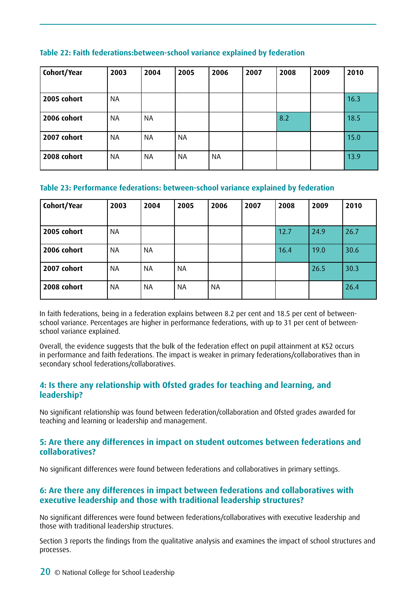| Cohort/Year | 2003      | 2004      | 2005      | 2006      | 2007 | 2008 | 2009 | 2010 |
|-------------|-----------|-----------|-----------|-----------|------|------|------|------|
| 2005 cohort | <b>NA</b> |           |           |           |      |      |      | 16.3 |
| 2006 cohort | <b>NA</b> | <b>NA</b> |           |           |      | 8.2  |      | 18.5 |
| 2007 cohort | <b>NA</b> | <b>NA</b> | <b>NA</b> |           |      |      |      | 15.0 |
| 2008 cohort | <b>NA</b> | ΝA        | NA        | <b>NA</b> |      |      |      | 13.9 |

#### **Table 22: Faith federations:between-school variance explained by federation**

#### **Table 23: Performance federations: between-school variance explained by federation**

| Cohort/Year | 2003      | 2004      | 2005 | 2006      | 2007 | 2008 | 2009 | 2010 |
|-------------|-----------|-----------|------|-----------|------|------|------|------|
| 2005 cohort | <b>NA</b> |           |      |           |      | 12.7 | 24.9 | 26.7 |
| 2006 cohort | <b>NA</b> | <b>NA</b> |      |           |      | 16.4 | 19.0 | 30.6 |
| 2007 cohort | ΝA        | NA        | NA   |           |      |      | 26.5 | 30.3 |
| 2008 cohort | NA        | NA        | NA   | <b>NA</b> |      |      |      | 26.4 |

In faith federations, being in a federation explains between 8.2 per cent and 18.5 per cent of betweenschool variance. Percentages are higher in performance federations, with up to 31 per cent of betweenschool variance explained.

Overall, the evidence suggests that the bulk of the federation effect on pupil attainment at KS2 occurs in performance and faith federations. The impact is weaker in primary federations/collaboratives than in secondary school federations/collaboratives.

### **4: Is there any relationship with Ofsted grades for teaching and learning, and leadership?**

No significant relationship was found between federation/collaboration and Ofsted grades awarded for teaching and learning or leadership and management.

### **5: Are there any differences in impact on student outcomes between federations and collaboratives?**

No significant differences were found between federations and collaboratives in primary settings.

### **6: Are there any differences in impact between federations and collaboratives with executive leadership and those with traditional leadership structures?**

No significant differences were found between federations/collaboratives with executive leadership and those with traditional leadership structures.

Section 3 reports the findings from the qualitative analysis and examines the impact of school structures and processes.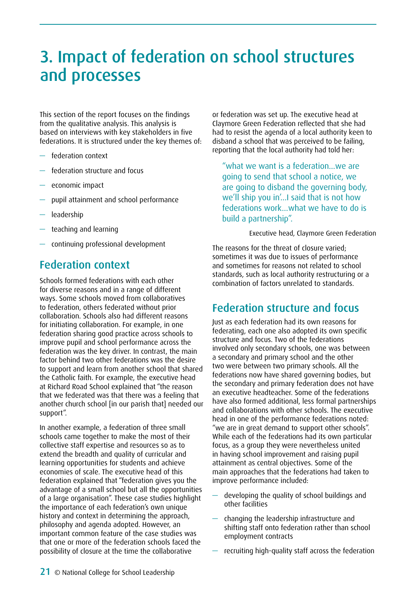# <span id="page-20-0"></span>3. Impact of federation on school structures and processes

This section of the report focuses on the findings from the qualitative analysis. This analysis is based on interviews with key stakeholders in five federations. It is structured under the key themes of:

- federation context
- federation structure and focus
- economic impact
- pupil attainment and school performance
- leadership
- teaching and learning
- continuing professional development

## Federation context

Schools formed federations with each other for diverse reasons and in a range of different ways. Some schools moved from collaboratives to federation, others federated without prior collaboration. Schools also had different reasons for initiating collaboration. For example, in one federation sharing good practice across schools to improve pupil and school performance across the federation was the key driver. In contrast, the main factor behind two other federations was the desire to support and learn from another school that shared the Catholic faith. For example, the executive head at Richard Road School explained that "the reason that we federated was that there was a feeling that another church school [in our parish that] needed our support".

In another example, a federation of three small schools came together to make the most of their collective staff expertise and resources so as to extend the breadth and quality of curricular and learning opportunities for students and achieve economies of scale. The executive head of this federation explained that "federation gives you the advantage of a small school but all the opportunities of a large organisation". These case studies highlight the importance of each federation's own unique history and context in determining the approach, philosophy and agenda adopted. However, an important common feature of the case studies was that one or more of the federation schools faced the possibility of closure at the time the collaborative

or federation was set up. The executive head at Claymore Green Federation reflected that she had had to resist the agenda of a local authority keen to disband a school that was perceived to be failing, reporting that the local authority had told her:

"what we want is a federation…we are going to send that school a notice, we are going to disband the governing body, we'll ship you in'…I said that is not how federations work…what we have to do is build a partnership".

#### Executive head, Claymore Green Federation

The reasons for the threat of closure varied; sometimes it was due to issues of performance and sometimes for reasons not related to school standards, such as local authority restructuring or a combination of factors unrelated to standards.

## Federation structure and focus

Just as each federation had its own reasons for federating, each one also adopted its own specific structure and focus. Two of the federations involved only secondary schools, one was between a secondary and primary school and the other two were between two primary schools. All the federations now have shared governing bodies, but the secondary and primary federation does not have an executive headteacher. Some of the federations have also formed additional, less formal partnerships and collaborations with other schools. The executive head in one of the performance federations noted: "we are in great demand to support other schools". While each of the federations had its own particular focus, as a group they were nevertheless united in having school improvement and raising pupil attainment as central objectives. Some of the main approaches that the federations had taken to improve performance included:

- developing the quality of school buildings and other facilities
- changing the leadership infrastructure and shifting staff onto federation rather than school employment contracts
- recruiting high-quality staff across the federation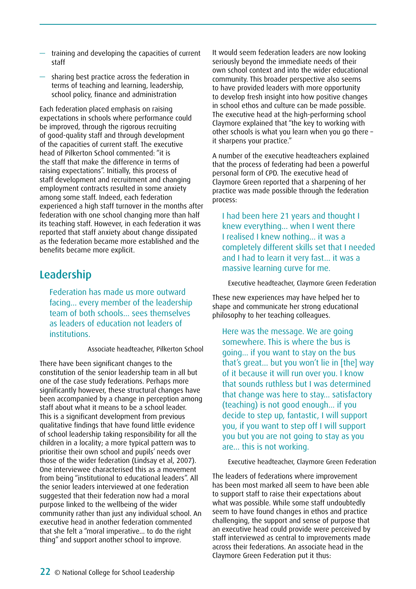- training and developing the capacities of current staff
- sharing best practice across the federation in terms of teaching and learning, leadership, school policy, finance and administration

Each federation placed emphasis on raising expectations in schools where performance could be improved, through the rigorous recruiting of good-quality staff and through development of the capacities of current staff. The executive head of Pilkerton School commented: "it is the staff that make the difference in terms of raising expectations". Initially, this process of staff development and recruitment and changing employment contracts resulted in some anxiety among some staff. Indeed, each federation experienced a high staff turnover in the months after federation with one school changing more than half its teaching staff. However, in each federation it was reported that staff anxiety about change dissipated as the federation became more established and the benefits became more explicit.

## Leadership

Federation has made us more outward facing… every member of the leadership team of both schools… sees themselves as leaders of education not leaders of institutions.

Associate headteacher, Pilkerton School

There have been significant changes to the constitution of the senior leadership team in all but one of the case study federations. Perhaps more significantly however, these structural changes have been accompanied by a change in perception among staff about what it means to be a school leader. This is a significant development from previous qualitative findings that have found little evidence of school leadership taking responsibility for all the children in a locality; a more typical pattern was to prioritise their own school and pupils' needs over those of the wider federation (Lindsay et al, 2007). One interviewee characterised this as a movement from being "institutional to educational leaders". All the senior leaders interviewed at one federation suggested that their federation now had a moral purpose linked to the wellbeing of the wider community rather than just any individual school. An executive head in another federation commented that she felt a "moral imperative… to do the right thing" and support another school to improve.

It would seem federation leaders are now looking seriously beyond the immediate needs of their own school context and into the wider educational community. This broader perspective also seems to have provided leaders with more opportunity to develop fresh insight into how positive changes in school ethos and culture can be made possible. The executive head at the high-performing school Claymore explained that "the key to working with other schools is what you learn when you go there – it sharpens your practice."

A number of the executive headteachers explained that the process of federating had been a powerful personal form of CPD. The executive head of Claymore Green reported that a sharpening of her practice was made possible through the federation process:

I had been here 21 years and thought I knew everything… when I went there I realised I knew nothing… it was a completely different skills set that I needed and I had to learn it very fast… it was a massive learning curve for me.

Executive headteacher, Claymore Green Federation

These new experiences may have helped her to shape and communicate her strong educational philosophy to her teaching colleagues.

Here was the message. We are going somewhere. This is where the bus is going… if you want to stay on the bus that's great… but you won't lie in [the] way of it because it will run over you. I know that sounds ruthless but I was determined that change was here to stay… satisfactory (teaching) is not good enough… if you decide to step up, fantastic, I will support you, if you want to step off I will support you but you are not going to stay as you are… this is not working.

Executive headteacher, Claymore Green Federation

The leaders of federations where improvement has been most marked all seem to have been able to support staff to raise their expectations about what was possible. While some staff undoubtedly seem to have found changes in ethos and practice challenging, the support and sense of purpose that an executive head could provide were perceived by staff interviewed as central to improvements made across their federations. An associate head in the Claymore Green Federation put it thus: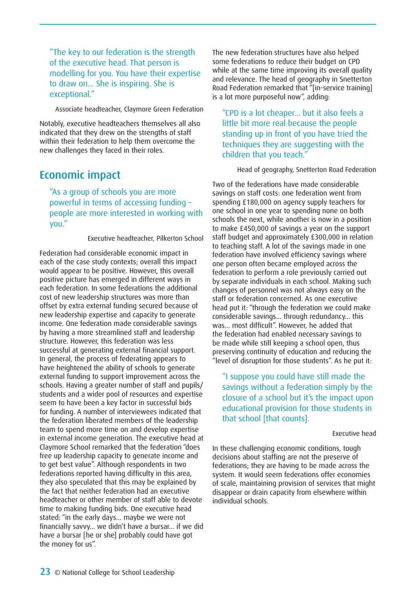"The key to our federation is the strength of the executive head. That person is modelling for you. You have their expertise to draw on... She is inspiring. She is exceptional."

Associate headteacher, Claymore Green Federation

Notably, executive headteachers themselves all also indicated that they drew on the strengths of staff within their federation to help them overcome the new challenges they faced in their roles.

### Economic impact

"As a group of schools you are more powerful in terms of accessing funding – people are more interested in working with you."

#### Executive headteacher, Pilkerton School

Federation had considerable economic impact in each of the case study contexts; overall this impact would appear to be positive. However, this overall positive picture has emerged in different ways in each federation. In some federations the additional cost of new leadership structures was more than offset by extra external funding secured because of new leadership expertise and capacity to generate income. One federation made considerable savings by having a more streamlined staff and leadership structure. However, this federation was less successful at generating external financial support. In general, the process of federating appears to have heightened the ability of schools to generate external funding to support improvement across the schools. Having a greater number of staff and pupils/ students and a wider pool of resources and expertise seem to have been a key factor in successful bids for funding. A number of interviewees indicated that the federation liberated members of the leadership team to spend more time on and develop expertise in external income generation. The executive head at Claymore School remarked that the federation "does free up leadership capacity to generate income and to get best value". Although respondents in two federations reported having difficulty in this area, they also speculated that this may be explained by the fact that neither federation had an executive headteacher or other member of staff able to devote time to making funding bids. One executive head stated: "in the early days… maybe we were not financially savvy… we didn't have a bursar… if we did have a bursar [he or she] probably could have got the money for us".

The new federation structures have also helped some federations to reduce their budget on CPD while at the same time improving its overall quality and relevance. The head of geography in Snetterton Road Federation remarked that "[in-service training] is a lot more purposeful now", adding:

"CPD is a lot cheaper… but it also feels a little bit more real because the people standing up in front of you have tried the techniques they are suggesting with the children that you teach."

Head of geography, Snetterton Road Federation

Two of the federations have made considerable savings on staff costs: one federation went from spending £180,000 on agency supply teachers for one school in one year to spending none on both schools the next, while another is now in a position to make £450,000 of savings a year on the support staff budget and approximately £300,000 in relation to teaching staff. A lot of the savings made in one federation have involved efficiency savings where one person often became employed across the federation to perform a role previously carried out by separate individuals in each school. Making such changes of personnel was not always easy on the staff or federation concerned. As one executive head put it: "through the federation we could make considerable savings… through redundancy… this was… most difficult". However, he added that the federation had enabled necessary savings to be made while still keeping a school open, thus preserving continuity of education and reducing the "level of disruption for those students". As he put it:

"I suppose you could have still made the savings without a federation simply by the closure of a school but it's the impact upon educational provision for those students in that school [that counts].

#### Executive head

In these challenging economic conditions, tough decisions about staffing are not the preserve of federations; they are having to be made across the system. It would seem federations offer economies of scale, maintaining provision of services that might disappear or drain capacity from elsewhere within individual schools.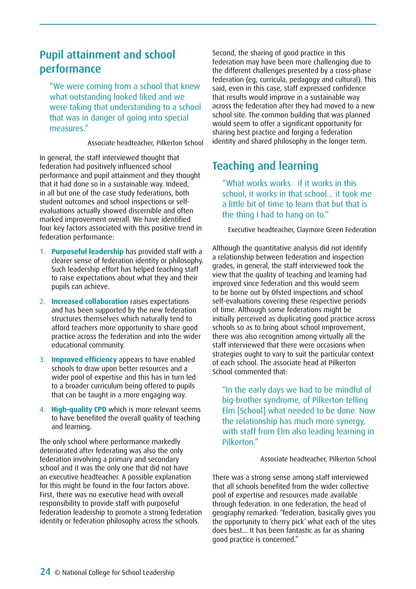# Pupil attainment and school performance

"We were coming from a school that knew what outstanding looked liked and we were taking that understanding to a school that was in danger of going into special measures."

Associate headteacher, Pilkerton School

In general, the staff interviewed thought that federation had positively influenced school performance and pupil attainment and they thought that it had done so in a sustainable way. Indeed, in all but one of the case study federations, both student outcomes and school inspections or selfevaluations actually showed discernible and often marked improvement overall. We have identified four key factors associated with this positive trend in federation performance:

- 1. **Purposeful leadership** has provided staff with a clearer sense of federation identity or philosophy. Such leadership effort has helped teaching staff to raise expectations about what they and their pupils can achieve.
- 2. **Increased collaboration** raises expectations and has been supported by the new federation structures themselves which naturally tend to afford teachers more opportunity to share good practice across the federation and into the wider educational community.
- 3. **Improved efficiency** appears to have enabled schools to draw upon better resources and a wider pool of expertise and this has in turn led to a broader curriculum being offered to pupils that can be taught in a more engaging way.
- 4. **High-quality CPD** which is more relevant seems to have benefited the overall quality of teaching and learning.

The only school where performance markedly deteriorated after federating was also the only federation involving a primary and secondary school and it was the only one that did not have an executive headteacher. A possible explanation for this might be found in the four factors above. First, there was no executive head with overall responsibility to provide staff with purposeful federation leadership to promote a strong federation identity or federation philosophy across the schools.

Second, the sharing of good practice in this federation may have been more challenging due to the different challenges presented by a cross-phase federation (eg, curricula, pedagogy and cultural). This said, even in this case, staff expressed confidence that results would improve in a sustainable way across the federation after they had moved to a new school site. The common building that was planned would seem to offer a significant opportunity for sharing best practice and forging a federation identity and shared philosophy in the longer term.

# Teaching and learning

"What works works if it works in this school, it works in that school… it took me a little bit of time to learn that but that is the thing I had to hang on to."

Executive headteacher, Claymore Green Federation

Although the quantitative analysis did not identify a relationship between federation and inspection grades, in general, the staff interviewed took the view that the quality of teaching and learning had improved since federation and this would seem to be borne out by Ofsted inspections and school self-evaluations covering these respective periods of time. Although some federations might be initially perceived as duplicating good practice across schools so as to bring about school improvement, there was also recognition among virtually all the staff interviewed that there were occasions when strategies ought to vary to suit the particular context of each school. The associate head at Pilkerton School commented that:

"In the early days we had to be mindful of big-brother syndrome, of Pilkerton telling Elm [School] what needed to be done. Now the relationship has much more synergy, with staff from Elm also leading learning in Pilkerton."

Associate headteacher, Pilkerton School

There was a strong sense among staff interviewed that all schools benefited from the wider collective pool of expertise and resources made available through federation. In one federation, the head of geography remarked: "federation, basically gives you the opportunity to 'cherry pick' what each of the sites does best… It has been fantastic as far as sharing good practice is concerned."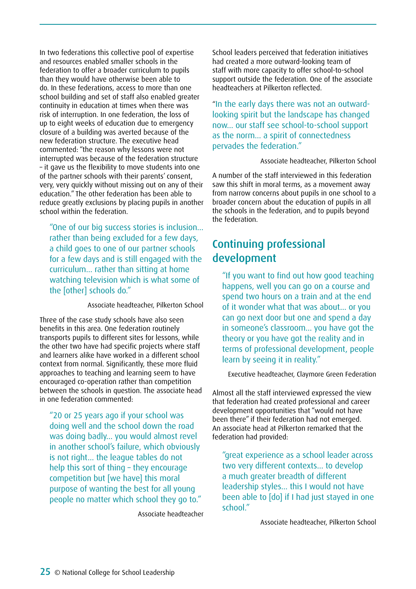In two federations this collective pool of expertise and resources enabled smaller schools in the federation to offer a broader curriculum to pupils than they would have otherwise been able to do. In these federations, access to more than one school building and set of staff also enabled greater continuity in education at times when there was risk of interruption. In one federation, the loss of up to eight weeks of education due to emergency closure of a building was averted because of the new federation structure. The executive head commented: "the reason why lessons were not interrupted was because of the federation structure – it gave us the flexibility to move students into one of the partner schools with their parents' consent, very, very quickly without missing out on any of their education." The other federation has been able to reduce greatly exclusions by placing pupils in another school within the federation.

"One of our big success stories is inclusion… rather than being excluded for a few days, a child goes to one of our partner schools for a few days and is still engaged with the curriculum… rather than sitting at home watching television which is what some of the [other] schools do."

Associate headteacher, Pilkerton School

Three of the case study schools have also seen benefits in this area. One federation routinely transports pupils to different sites for lessons, while the other two have had specific projects where staff and learners alike have worked in a different school context from normal. Significantly, these more fluid approaches to teaching and learning seem to have encouraged co-operation rather than competition between the schools in question. The associate head in one federation commented:

"20 or 25 years ago if your school was doing well and the school down the road was doing badly… you would almost revel in another school's failure, which obviously is not right… the league tables do not help this sort of thing – they encourage competition but [we have] this moral purpose of wanting the best for all young people no matter which school they go to."

Associate headteacher

School leaders perceived that federation initiatives had created a more outward-looking team of staff with more capacity to offer school-to-school support outside the federation. One of the associate headteachers at Pilkerton reflected.

"In the early days there was not an outwardlooking spirit but the landscape has changed now… our staff see school-to-school support as the norm… a spirit of connectedness pervades the federation."

Associate headteacher, Pilkerton School

A number of the staff interviewed in this federation saw this shift in moral terms, as a movement away from narrow concerns about pupils in one school to a broader concern about the education of pupils in all the schools in the federation, and to pupils beyond the federation.

# Continuing professional development

"If you want to find out how good teaching happens, well you can go on a course and spend two hours on a train and at the end of it wonder what that was about… or you can go next door but one and spend a day in someone's classroom… you have got the theory or you have got the reality and in terms of professional development, people learn by seeing it in reality."

Executive headteacher, Claymore Green Federation

Almost all the staff interviewed expressed the view that federation had created professional and career development opportunities that "would not have been there" if their federation had not emerged. An associate head at Pilkerton remarked that the federation had provided:

"great experience as a school leader across two very different contexts… to develop a much greater breadth of different leadership styles… this I would not have been able to [do] if I had just stayed in one school."

Associate headteacher, Pilkerton School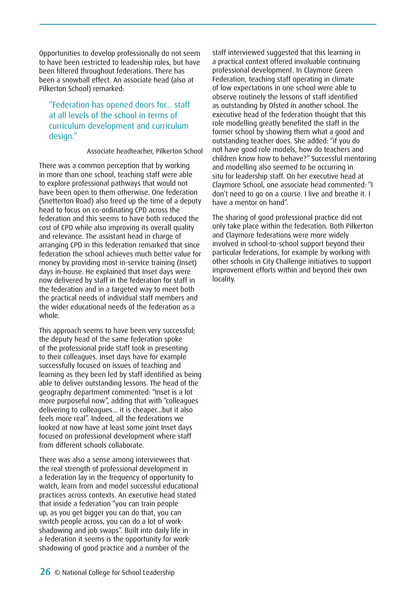Opportunities to develop professionally do not seem to have been restricted to leadership roles, but have been filtered throughout federations. There has been a snowball effect. An associate head (also at Pilkerton School) remarked:

"Federation has opened doors for… staff at all levels of the school in terms of curriculum development and curriculum design."

Associate headteacher, Pilkerton School

There was a common perception that by working in more than one school, teaching staff were able to explore professional pathways that would not have been open to them otherwise. One federation (Snetterton Road) also freed up the time of a deputy head to focus on co-ordinating CPD across the federation and this seems to have both reduced the cost of CPD while also improving its overall quality and relevance. The assistant head in charge of arranging CPD in this federation remarked that since federation the school achieves much better value for money by providing most in-service training (Inset) days in-house. He explained that Inset days were now delivered by staff in the federation for staff in the federation and in a targeted way to meet both the practical needs of individual staff members and the wider educational needs of the federation as a whole.

This approach seems to have been very successful; the deputy head of the same federation spoke of the professional pride staff took in presenting to their colleagues. Inset days have for example successfully focused on issues of teaching and learning as they been led by staff identified as being able to deliver outstanding lessons. The head of the geography department commented: "Inset is a lot more purposeful now", adding that with "colleagues delivering to colleagues… it is cheaper…but it also feels more real". Indeed, all the federations we looked at now have at least some joint Inset days focused on professional development where staff from different schools collaborate.

There was also a sense among interviewees that the real strength of professional development in a federation lay in the frequency of opportunity to watch, learn from and model successful educational practices across contexts. An executive head stated that inside a federation "you can train people up, as you get bigger you can do that, you can switch people across, you can do a lot of workshadowing and job swaps". Built into daily life in a federation it seems is the opportunity for workshadowing of good practice and a number of the

staff interviewed suggested that this learning in a practical context offered invaluable continuing professional development. In Claymore Green Federation, teaching staff operating in climate of low expectations in one school were able to observe routinely the lessons of staff identified as outstanding by Ofsted in another school. The executive head of the federation thought that this role modelling greatly benefited the staff in the former school by showing them what a good and outstanding teacher does. She added: "if you do not have good role models, how do teachers and children know how to behave?" Successful mentoring and modelling also seemed to be occurring in situ for leadership staff. On her executive head at Claymore School, one associate head commented: "I don't need to go on a course. I live and breathe it. I have a mentor on hand".

The sharing of good professional practice did not only take place within the federation. Both Pilkerton and Claymore federations were more widely involved in school-to-school support beyond their particular federations, for example by working with other schools in City Challenge initiatives to support improvement efforts within and beyond their own locality.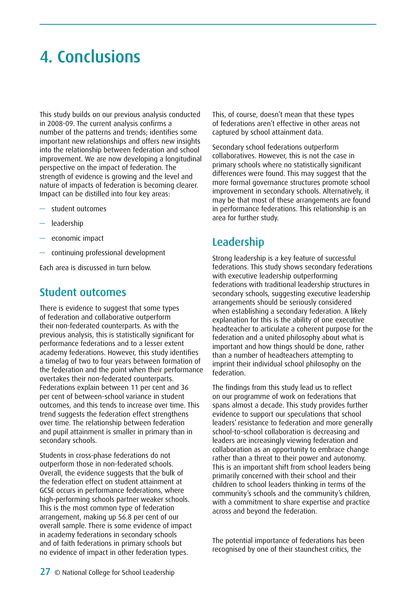# <span id="page-26-0"></span>4. Conclusions

This study builds on our previous analysis conducted in 2008-09. The current analysis confirms a number of the patterns and trends; identifies some important new relationships and offers new insights into the relationship between federation and school improvement. We are now developing a longitudinal perspective on the impact of federation. The strength of evidence is growing and the level and nature of impacts of federation is becoming clearer. Impact can be distilled into four key areas:

- student outcomes
- leadership
- economic impact
- continuing professional development

Each area is discussed in turn below.

### Student outcomes

There is evidence to suggest that some types of federation and collaborative outperform their non-federated counterparts. As with the previous analysis, this is statistically significant for performance federations and to a lesser extent academy federations. However, this study identifies a timelag of two to four years between formation of the federation and the point when their performance overtakes their non-federated counterparts. Federations explain between 11 per cent and 36 per cent of between-school variance in student outcomes, and this tends to increase over time. This trend suggests the federation effect strengthens over time. The relationship between federation and pupil attainment is smaller in primary than in secondary schools.

Students in cross-phase federations do not outperform those in non-federated schools. Overall, the evidence suggests that the bulk of the federation effect on student attainment at GCSE occurs in performance federations, where high-performing schools partner weaker schools. This is the most common type of federation arrangement, making up 56.8 per cent of our overall sample. There is some evidence of impact in academy federations in secondary schools and of faith federations in primary schools but no evidence of impact in other federation types.

This, of course, doesn't mean that these types of federations aren't effective in other areas not captured by school attainment data.

Secondary school federations outperform collaboratives. However, this is not the case in primary schools where no statistically significant differences were found. This may suggest that the more formal governance structures promote school improvement in secondary schools. Alternatively, it may be that most of these arrangements are found in performance federations. This relationship is an area for further study.

# Leadership

Strong leadership is a key feature of successful federations. This study shows secondary federations with executive leadership outperforming federations with traditional leadership structures in secondary schools, suggesting executive leadership arrangements should be seriously considered when establishing a secondary federation. A likely explanation for this is the ability of one executive headteacher to articulate a coherent purpose for the federation and a united philosophy about what is important and how things should be done, rather than a number of headteachers attempting to imprint their individual school philosophy on the federation.

The findings from this study lead us to reflect on our programme of work on federations that spans almost a decade. This study provides further evidence to support our speculations that school leaders' resistance to federation and more generally school-to-school collaboration is decreasing and leaders are increasingly viewing federation and collaboration as an opportunity to embrace change rather than a threat to their power and autonomy. This is an important shift from school leaders being primarily concerned with their school and their children to school leaders thinking in terms of the community's schools and the community's children, with a commitment to share expertise and practice across and beyond the federation.

The potential importance of federations has been recognised by one of their staunchest critics, the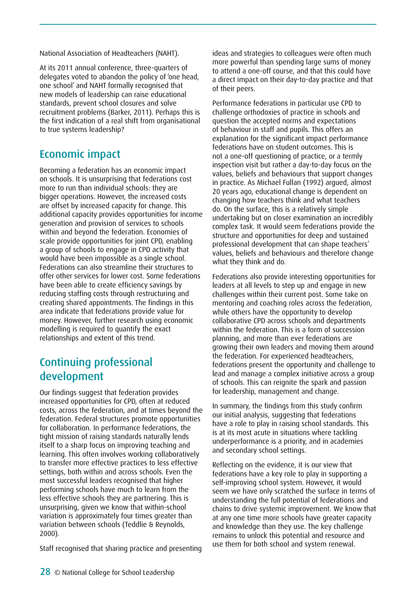National Association of Headteachers (NAHT).

At its 2011 annual conference, three-quarters of delegates voted to abandon the policy of 'one head, one school' and NAHT formally recognised that new models of leadership can raise educational standards, prevent school closures and solve recruitment problems (Barker, 2011). Perhaps this is the first indication of a real shift from organisational to true systems leadership?

## Economic impact

Becoming a federation has an economic impact on schools. It is unsurprising that federations cost more to run than individual schools: they are bigger operations. However, the increased costs are offset by increased capacity for change. This additional capacity provides opportunities for income generation and provision of services to schools within and beyond the federation. Economies of scale provide opportunities for joint CPD, enabling a group of schools to engage in CPD activity that would have been impossible as a single school. Federations can also streamline their structures to offer other services for lower cost. Some federations have been able to create efficiency savings by reducing staffing costs through restructuring and creating shared appointments. The findings in this area indicate that federations provide value for money. However, further research using economic modelling is required to quantify the exact relationships and extent of this trend.

# Continuing professional development

Our findings suggest that federation provides increased opportunities for CPD, often at reduced costs, across the federation, and at times beyond the federation. Federal structures promote opportunities for collaboration. In performance federations, the tight mission of raising standards naturally lends itself to a sharp focus on improving teaching and learning. This often involves working collaboratively to transfer more effective practices to less effective settings, both within and across schools. Even the most successful leaders recognised that higher performing schools have much to learn from the less effective schools they are partnering. This is unsurprising, given we know that within-school variation is approximately four times greater than variation between schools (Teddlie & Reynolds, 2000).

Staff recognised that sharing practice and presenting

ideas and strategies to colleagues were often much more powerful than spending large sums of money to attend a one-off course, and that this could have a direct impact on their day-to-day practice and that of their peers.

Performance federations in particular use CPD to challenge orthodoxies of practice in schools and question the accepted norms and expectations of behaviour in staff and pupils. This offers an explanation for the significant impact performance federations have on student outcomes. This is not a one-off questioning of practice, or a termly inspection visit but rather a day-to-day focus on the values, beliefs and behaviours that support changes in practice. As Michael Fullan (1992) argued, almost 20 years ago, educational change is dependent on changing how teachers think and what teachers do. On the surface, this is a relatively simple undertaking but on closer examination an incredibly complex task. It would seem federations provide the structure and opportunities for deep and sustained professional development that can shape teachers' values, beliefs and behaviours and therefore change what they think and do.

Federations also provide interesting opportunities for leaders at all levels to step up and engage in new challenges within their current post. Some take on mentoring and coaching roles across the federation, while others have the opportunity to develop collaborative CPD across schools and departments within the federation. This is a form of succession planning, and more than ever federations are growing their own leaders and moving them around the federation. For experienced headteachers, federations present the opportunity and challenge to lead and manage a complex initiative across a group of schools. This can reignite the spark and passion for leadership, management and change.

In summary, the findings from this study confirm our initial analysis, suggesting that federations have a role to play in raising school standards. This is at its most acute in situations where tackling underperformance is a priority, and in academies and secondary school settings.

Reflecting on the evidence, it is our view that federations have a key role to play in supporting a self-improving school system. However, it would seem we have only scratched the surface in terms of understanding the full potential of federations and chains to drive systemic improvement. We know that at any one time more schools have greater capacity and knowledge than they use. The key challenge remains to unlock this potential and resource and use them for both school and system renewal.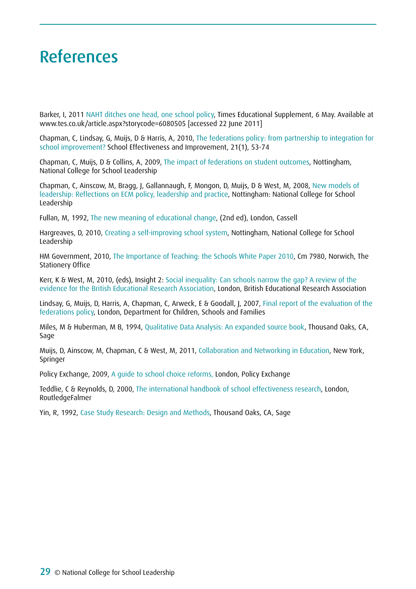# <span id="page-28-0"></span>References

Barker, I, 2011 NAHT ditches one head, one school policy, Times Educational Supplement, 6 May. Available at www.tes.co.uk/article.aspx?storycode=6080505 [accessed 22 June 2011]

Chapman, C, Lindsay, G, Muijs, D & Harris, A, 2010, The federations policy: from partnership to integration for school improvement? School Effectiveness and Improvement, 21(1), 53-74

Chapman, C, Muijs, D & Collins, A, 2009, The impact of federations on student outcomes, Nottingham, National College for School Leadership

Chapman, C, Ainscow, M, Bragg, J, Gallannaugh, F, Mongon, D, Muijs, D & West, M, 2008, New models of leadership: Reflections on ECM policy, leadership and practice, Nottingham: National College for School Leadership

Fullan, M, 1992, The new meaning of educational change, (2nd ed), London, Cassell

Hargreaves, D, 2010, Creating a self-improving school system, Nottingham, National College for School Leadership

HM Government, 2010, The Importance of Teaching: the Schools White Paper 2010, Cm 7980, Norwich, The Stationery Office

Kerr, K & West, M, 2010, (eds), Insight 2: Social inequality: Can schools narrow the gap? A review of the evidence for the British Educational Research Association, London, British Educational Research Association

Lindsay, G, Muijs, D, Harris, A, Chapman, C, Arweck, E & Goodall, J, 2007, Final report of the evaluation of the federations policy, London, Department for Children, Schools and Families

Miles, M & Huberman, M B, 1994, Qualitative Data Analysis: An expanded source book, Thousand Oaks, CA, Sage

Muijs, D, Ainscow, M, Chapman, C & West, M, 2011, Collaboration and Networking in Education, New York, Springer

Policy Exchange, 2009, A guide to school choice reforms, London, Policy Exchange

Teddlie, C & Reynolds, D, 2000, The international handbook of school effectiveness research, London, RoutledgeFalmer

Yin, R, 1992, Case Study Research: Design and Methods, Thousand Oaks, CA, Sage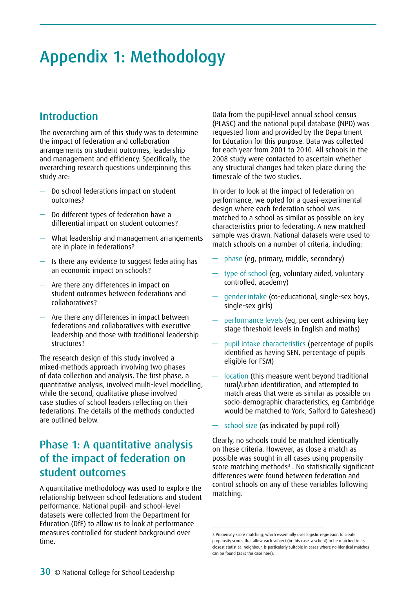# <span id="page-29-0"></span>Appendix 1: Methodology

## Introduction

The overarching aim of this study was to determine the impact of federation and collaboration arrangements on student outcomes, leadership and management and efficiency. Specifically, the overarching research questions underpinning this study are:

- Do school federations impact on student outcomes?
- Do different types of federation have a differential impact on student outcomes?
- What leadership and management arrangements are in place in federations?
- $-$  Is there any evidence to suggest federating has an economic impact on schools?
- Are there any differences in impact on student outcomes between federations and collaboratives?
- Are there any differences in impact between federations and collaboratives with executive leadership and those with traditional leadership structures?

The research design of this study involved a mixed-methods approach involving two phases of data collection and analysis. The first phase, a quantitative analysis, involved multi-level modelling, while the second, qualitative phase involved case studies of school leaders reflecting on their federations. The details of the methods conducted are outlined below.

# Phase 1: A quantitative analysis of the impact of federation on student outcomes

A quantitative methodology was used to explore the relationship between school federations and student performance. National pupil- and school-level datasets were collected from the Department for Education (DfE) to allow us to look at performance measures controlled for student background over time.

Data from the pupil-level annual school census (PLASC) and the national pupil database (NPD) was requested from and provided by the Department for Education for this purpose. Data was collected for each year from 2001 to 2010. All schools in the 2008 study were contacted to ascertain whether any structural changes had taken place during the timescale of the two studies.

In order to look at the impact of federation on performance, we opted for a quasi-experimental design where each federation school was matched to a school as similar as possible on key characteristics prior to federating. A new matched sample was drawn. National datasets were used to match schools on a number of criteria, including:

- phase (eg, primary, middle, secondary)
- type of school (eg, voluntary aided, voluntary controlled, academy)
- gender intake (co-educational, single-sex boys, single-sex girls)
- performance levels (eg, per cent achieving key stage threshold levels in English and maths)
- pupil intake characteristics (percentage of pupils identified as having SEN, percentage of pupils eligible for FSM)
- location (this measure went beyond traditional rural/urban identification, and attempted to match areas that were as similar as possible on socio-demographic characteristics, eg Cambridge would be matched to York, Salford to Gateshead)
- school size (as indicated by pupil roll)

Clearly, no schools could be matched identically on these criteria. However, as close a match as possible was sought in all cases using propensity score matching methods $3$ . No statistically significant differences were found between federation and control schools on any of these variables following matching.

<sup>3</sup> Propensity score matching, which essentially uses logistic regression to create propensity scores that allow each subject (in this case, a school) to be matched to its closest statistical neighbour, is particularly suitable in cases where no identical matches can be found (as is the case here).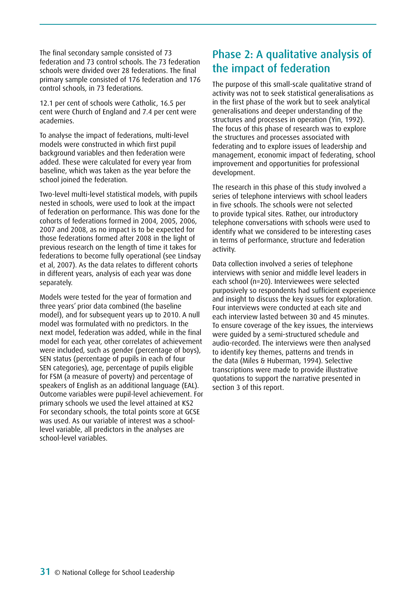The final secondary sample consisted of 73 federation and 73 control schools. The 73 federation schools were divided over 28 federations. The final primary sample consisted of 176 federation and 176 control schools, in 73 federations.

12.1 per cent of schools were Catholic, 16.5 per cent were Church of England and 7.4 per cent were academies.

To analyse the impact of federations, multi-level models were constructed in which first pupil background variables and then federation were added. These were calculated for every year from baseline, which was taken as the year before the school joined the federation.

Two-level multi-level statistical models, with pupils nested in schools, were used to look at the impact of federation on performance. This was done for the cohorts of federations formed in 2004, 2005, 2006, 2007 and 2008, as no impact is to be expected for those federations formed after 2008 in the light of previous research on the length of time it takes for federations to become fully operational (see Lindsay et al, 2007). As the data relates to different cohorts in different years, analysis of each year was done separately.

Models were tested for the year of formation and three years' prior data combined (the baseline model), and for subsequent years up to 2010. A null model was formulated with no predictors. In the next model, federation was added, while in the final model for each year, other correlates of achievement were included, such as gender (percentage of boys), SEN status (percentage of pupils in each of four SEN categories), age, percentage of pupils eligible for FSM (a measure of poverty) and percentage of speakers of English as an additional language (EAL). Outcome variables were pupil-level achievement. For primary schools we used the level attained at KS2 For secondary schools, the total points score at GCSE was used. As our variable of interest was a schoollevel variable, all predictors in the analyses are school-level variables.

## Phase 2: A qualitative analysis of the impact of federation

The purpose of this small-scale qualitative strand of activity was not to seek statistical generalisations as in the first phase of the work but to seek analytical generalisations and deeper understanding of the structures and processes in operation (Yin, 1992). The focus of this phase of research was to explore the structures and processes associated with federating and to explore issues of leadership and management, economic impact of federating, school improvement and opportunities for professional development.

The research in this phase of this study involved a series of telephone interviews with school leaders in five schools. The schools were not selected to provide typical sites. Rather, our introductory telephone conversations with schools were used to identify what we considered to be interesting cases in terms of performance, structure and federation activity.

Data collection involved a series of telephone interviews with senior and middle level leaders in each school (n=20). Interviewees were selected purposively so respondents had sufficient experience and insight to discuss the key issues for exploration. Four interviews were conducted at each site and each interview lasted between 30 and 45 minutes. To ensure coverage of the key issues, the interviews were guided by a semi-structured schedule and audio-recorded. The interviews were then analysed to identify key themes, patterns and trends in the data (Miles & Huberman, 1994). Selective transcriptions were made to provide illustrative quotations to support the narrative presented in section 3 of this report.